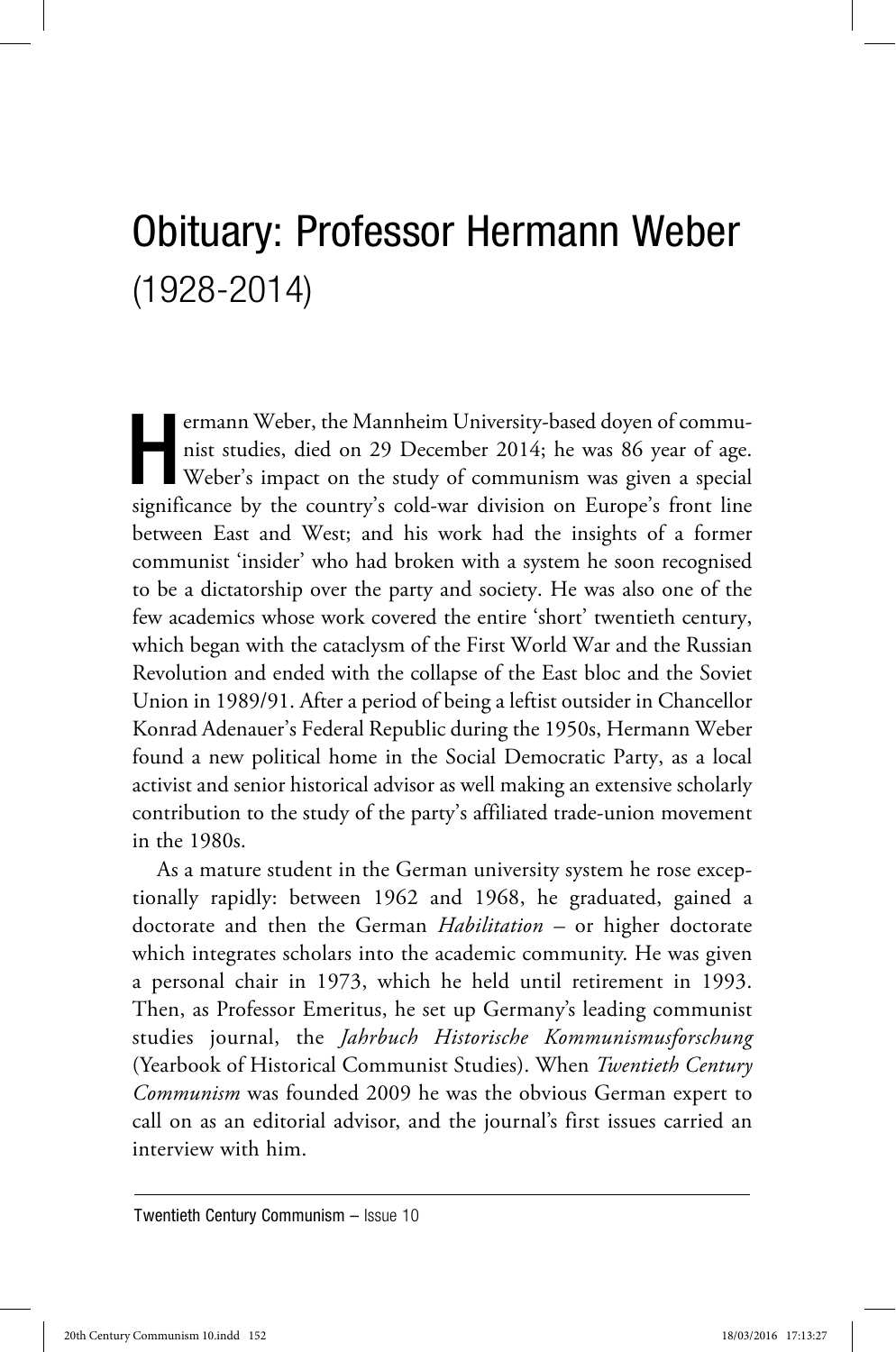## Obituary: Professor Hermann Weber (1928-2014)

ermann Weber, the Mannheim University-based doyen of commu-<br>nist studies, died on 29 December 2014; he was 86 year of age.<br>Weber's impact on the study of communism was given a special nist studies, died on 29 December 2014; he was 86 year of age. significance by the country's cold-war division on Europe's front line between East and West; and his work had the insights of a former communist 'insider' who had broken with a system he soon recognised to be a dictatorship over the party and society. He was also one of the few academics whose work covered the entire 'short' twentieth century, which began with the cataclysm of the First World War and the Russian Revolution and ended with the collapse of the East bloc and the Soviet Union in 1989/91. After a period of being a leftist outsider in Chancellor Konrad Adenauer's Federal Republic during the 1950s, Hermann Weber found a new political home in the Social Democratic Party, as a local activist and senior historical advisor as well making an extensive scholarly contribution to the study of the party's affiliated trade-union movement in the 1980s.

As a mature student in the German university system he rose exceptionally rapidly: between 1962 and 1968, he graduated, gained a doctorate and then the German *Habilitation –* or higher doctorate which integrates scholars into the academic community. He was given a personal chair in 1973, which he held until retirement in 1993. Then, as Professor Emeritus, he set up Germany's leading communist studies journal, the *Jahrbuch Historische Kommunismusforschung* (Yearbook of Historical Communist Studies). When *Twentieth Century Communism* was founded 2009 he was the obvious German expert to call on as an editorial advisor, and the journal's first issues carried an interview with him.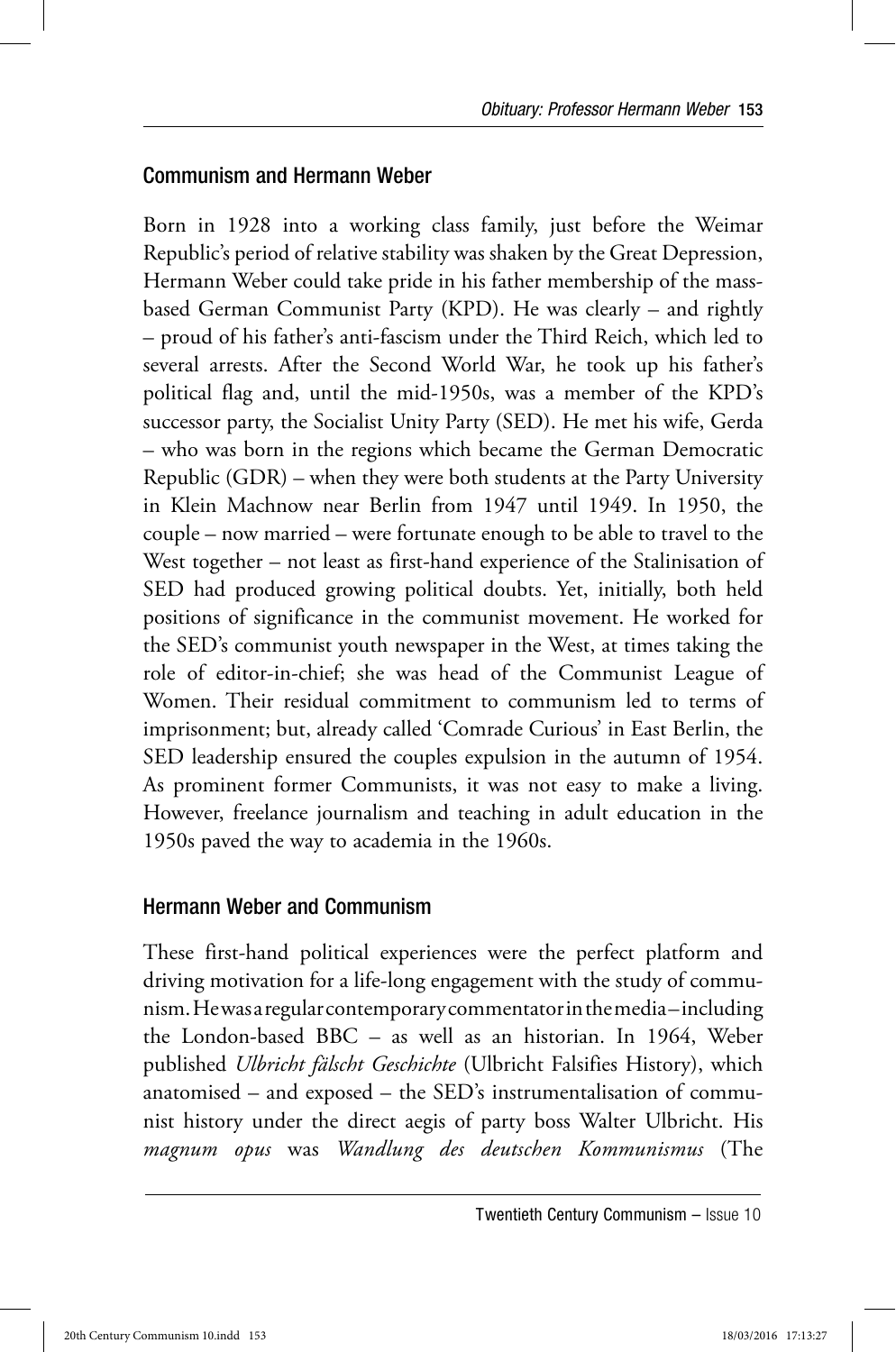## Communism and Hermann Weber

Born in 1928 into a working class family, just before the Weimar Republic's period of relative stability was shaken by the Great Depression, Hermann Weber could take pride in his father membership of the massbased German Communist Party (KPD). He was clearly – and rightly – proud of his father's anti-fascism under the Third Reich, which led to several arrests. After the Second World War, he took up his father's political flag and, until the mid-1950s, was a member of the KPD's successor party, the Socialist Unity Party (SED). He met his wife, Gerda – who was born in the regions which became the German Democratic Republic (GDR) – when they were both students at the Party University in Klein Machnow near Berlin from 1947 until 1949. In 1950, the couple – now married – were fortunate enough to be able to travel to the West together – not least as first-hand experience of the Stalinisation of SED had produced growing political doubts. Yet, initially, both held positions of significance in the communist movement. He worked for the SED's communist youth newspaper in the West, at times taking the role of editor-in-chief; she was head of the Communist League of Women. Their residual commitment to communism led to terms of imprisonment; but, already called 'Comrade Curious' in East Berlin, the SED leadership ensured the couples expulsion in the autumn of 1954. As prominent former Communists, it was not easy to make a living. However, freelance journalism and teaching in adult education in the 1950s paved the way to academia in the 1960s.

## Hermann Weber and Communism

These first-hand political experiences were the perfect platform and driving motivation for a life-long engagement with the study of communism. He was a regular contemporary commentator in the media – including the London-based BBC – as well as an historian. In 1964, Weber published *Ulbricht fälscht Geschichte* (Ulbricht Falsifies History), which anatomised – and exposed – the SED's instrumentalisation of communist history under the direct aegis of party boss Walter Ulbricht. His *magnum opus* was *Wandlung des deutschen Kommunismus* (The

Twentieth Century Communism – Issue 10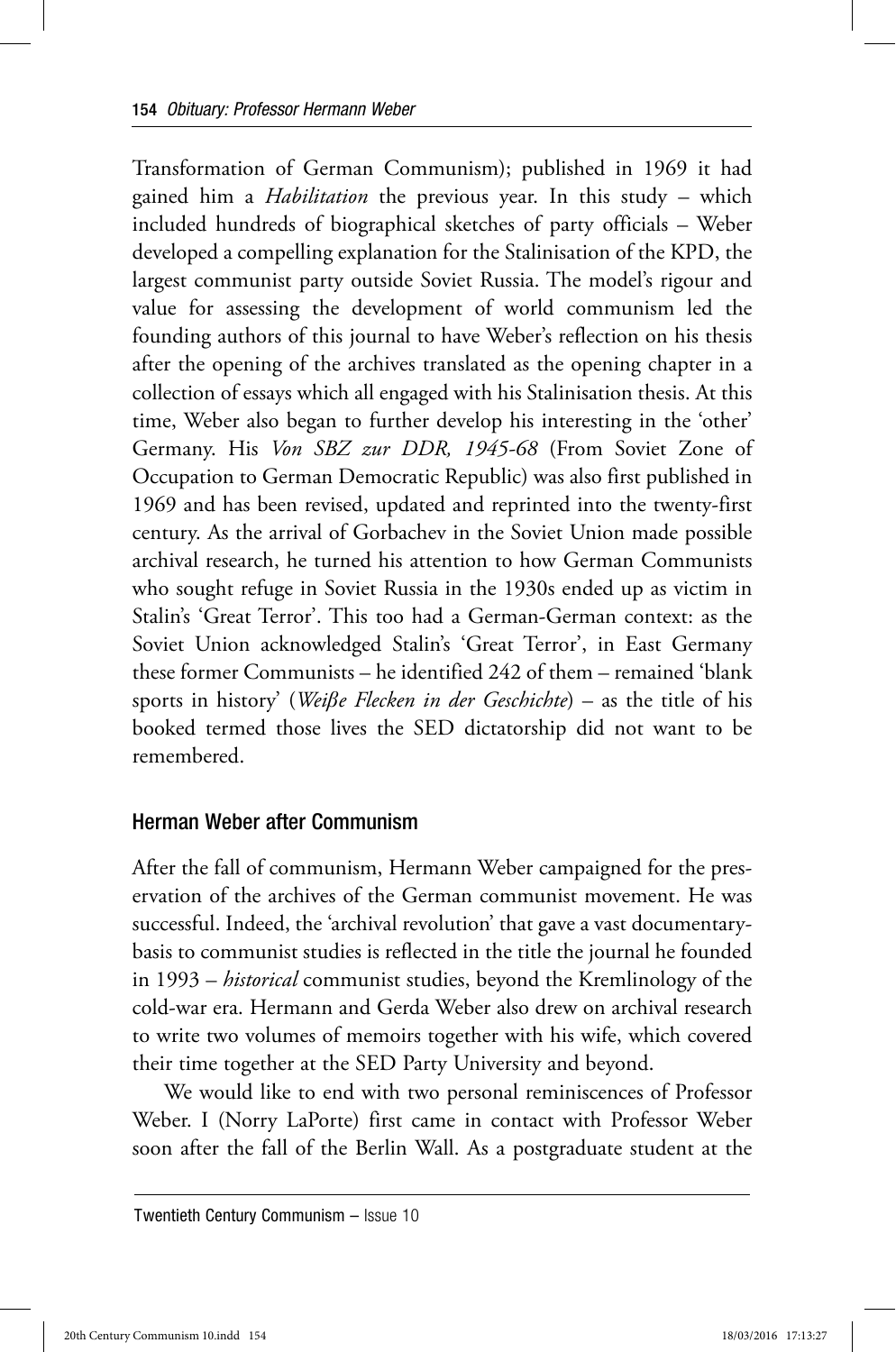Transformation of German Communism); published in 1969 it had gained him a *Habilitation* the previous year. In this study – which included hundreds of biographical sketches of party officials – Weber developed a compelling explanation for the Stalinisation of the KPD, the largest communist party outside Soviet Russia. The model's rigour and value for assessing the development of world communism led the founding authors of this journal to have Weber's reflection on his thesis after the opening of the archives translated as the opening chapter in a collection of essays which all engaged with his Stalinisation thesis. At this time, Weber also began to further develop his interesting in the 'other' Germany. His *Von SBZ zur DDR, 1945-68* (From Soviet Zone of Occupation to German Democratic Republic) was also first published in 1969 and has been revised, updated and reprinted into the twenty-first century. As the arrival of Gorbachev in the Soviet Union made possible archival research, he turned his attention to how German Communists who sought refuge in Soviet Russia in the 1930s ended up as victim in Stalin's 'Great Terror'. This too had a German-German context: as the Soviet Union acknowledged Stalin's 'Great Terror', in East Germany these former Communists – he identified 242 of them – remained 'blank sports in history' (*Weiβe Flecken in der Geschichte*) – as the title of his booked termed those lives the SED dictatorship did not want to be remembered.

## Herman Weber after Communism

After the fall of communism, Hermann Weber campaigned for the preservation of the archives of the German communist movement. He was successful. Indeed, the 'archival revolution' that gave a vast documentarybasis to communist studies is reflected in the title the journal he founded in 1993 – *historical* communist studies, beyond the Kremlinology of the cold-war era. Hermann and Gerda Weber also drew on archival research to write two volumes of memoirs together with his wife, which covered their time together at the SED Party University and beyond.

 We would like to end with two personal reminiscences of Professor Weber. I (Norry LaPorte) first came in contact with Professor Weber soon after the fall of the Berlin Wall. As a postgraduate student at the

Twentieth Century Communism – Issue 10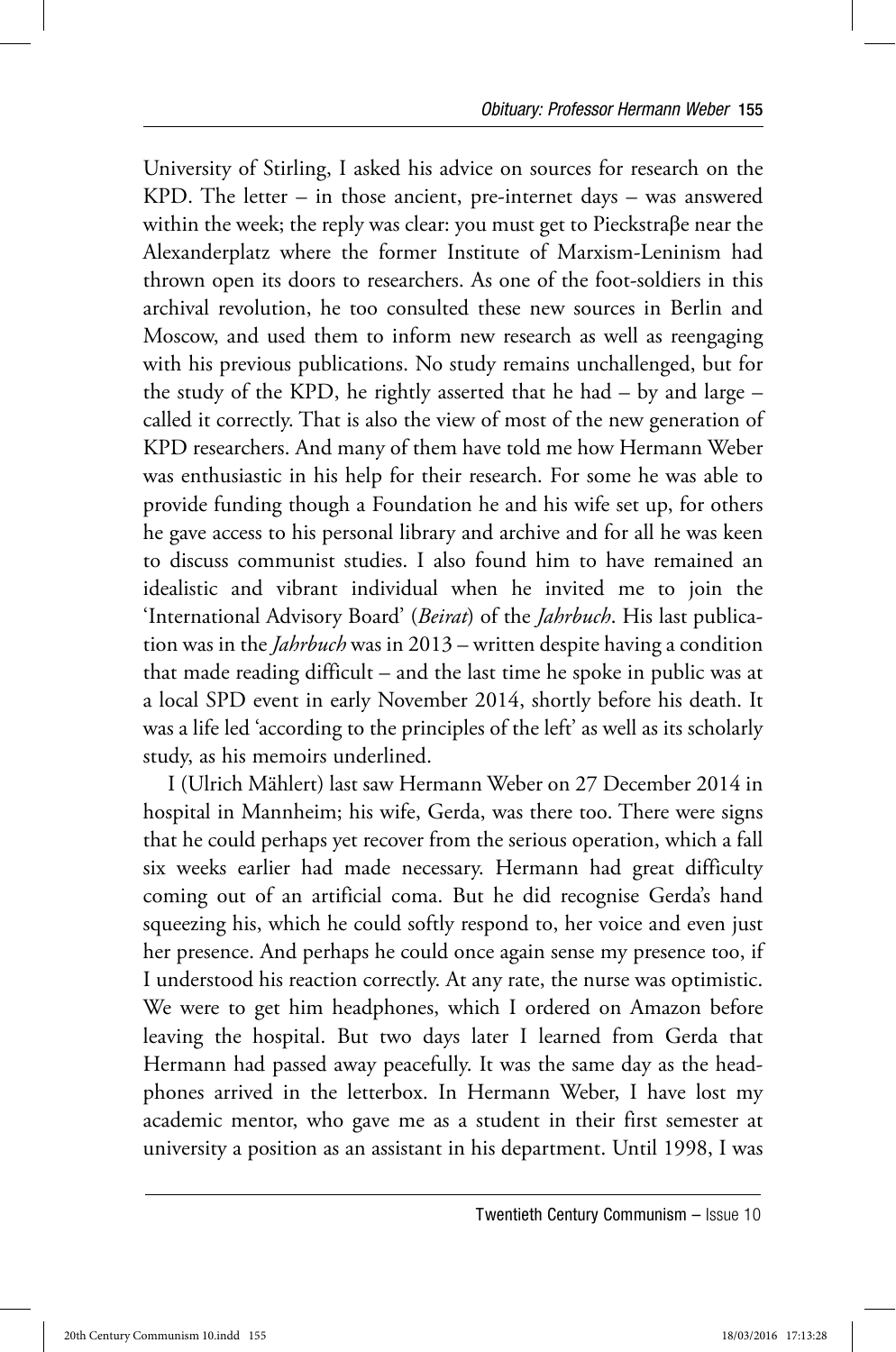University of Stirling, I asked his advice on sources for research on the KPD. The letter – in those ancient, pre-internet days – was answered within the week; the reply was clear: you must get to Pieckstraβe near the Alexanderplatz where the former Institute of Marxism-Leninism had thrown open its doors to researchers. As one of the foot-soldiers in this archival revolution, he too consulted these new sources in Berlin and Moscow, and used them to inform new research as well as reengaging with his previous publications. No study remains unchallenged, but for the study of the KPD, he rightly asserted that he had – by and large – called it correctly. That is also the view of most of the new generation of KPD researchers. And many of them have told me how Hermann Weber was enthusiastic in his help for their research. For some he was able to provide funding though a Foundation he and his wife set up, for others he gave access to his personal library and archive and for all he was keen to discuss communist studies. I also found him to have remained an idealistic and vibrant individual when he invited me to join the 'International Advisory Board' (*Beirat*) of the *Jahrbuch*. His last publication was in the *Jahrbuch* was in 2013 – written despite having a condition that made reading difficult – and the last time he spoke in public was at a local SPD event in early November 2014, shortly before his death. It was a life led 'according to the principles of the left' as well as its scholarly study, as his memoirs underlined.

I (Ulrich Mählert) last saw Hermann Weber on 27 December 2014 in hospital in Mannheim; his wife, Gerda, was there too. There were signs that he could perhaps yet recover from the serious operation, which a fall six weeks earlier had made necessary. Hermann had great difficulty coming out of an artificial coma. But he did recognise Gerda's hand squeezing his, which he could softly respond to, her voice and even just her presence. And perhaps he could once again sense my presence too, if I understood his reaction correctly. At any rate, the nurse was optimistic. We were to get him headphones, which I ordered on Amazon before leaving the hospital. But two days later I learned from Gerda that Hermann had passed away peacefully. It was the same day as the headphones arrived in the letterbox. In Hermann Weber, I have lost my academic mentor, who gave me as a student in their first semester at university a position as an assistant in his department. Until 1998, I was

Twentieth Century Communism – Issue 10